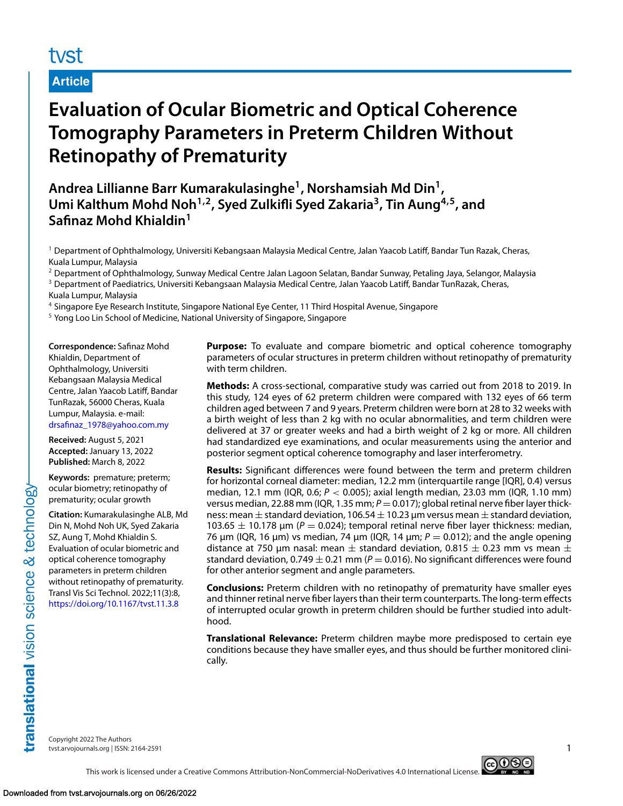# tyst

## **Article**

# **Evaluation of Ocular Biometric and Optical Coherence Tomography Parameters in Preterm Children Without Retinopathy of Prematurity**

**Andrea Lillianne Barr Kumarakulasinghe1, Norshamsiah Md Din1, Umi Kalthum Mohd Noh1,2, Syed Zulkifli Syed Zakaria3, Tin Aung4,5, and Safinaz Mohd Khialdin<sup>1</sup>**

<sup>1</sup> Department of Ophthalmology, Universiti Kebangsaan Malaysia Medical Centre, Jalan Yaacob Latiff, Bandar Tun Razak, Cheras, Kuala Lumpur, Malaysia

<sup>2</sup> Department of Ophthalmology, Sunway Medical Centre Jalan Lagoon Selatan, Bandar Sunway, Petaling Jaya, Selangor, Malaysia

<sup>3</sup> Department of Paediatrics, Universiti Kebangsaan Malaysia Medical Centre, Jalan Yaacob Latiff, Bandar TunRazak, Cheras, Kuala Lumpur, Malaysia

<sup>4</sup> Singapore Eye Research Institute, Singapore National Eye Center, 11 Third Hospital Avenue, Singapore

<sup>5</sup> Yong Loo Lin School of Medicine, National University of Singapore, Singapore

**Correspondence:** Safinaz Mohd Khialdin, Department of Ophthalmology, Universiti Kebangsaan Malaysia Medical Centre, Jalan Yaacob Latiff, Bandar TunRazak, 56000 Cheras, Kuala Lumpur, Malaysia. e-mail: [drsafinaz\\_1978@yahoo.com.my](mailto:drsafinaz_1978@yahoo.com.my)

**Received:** August 5, 2021 **Accepted:** January 13, 2022 **Published:** March 8, 2022

**Keywords:** premature; preterm; ocular biometry; retinopathy of prematurity; ocular growth

**Citation:** Kumarakulasinghe ALB, Md Din N, Mohd Noh UK, Syed Zakaria SZ, Aung T, Mohd Khialdin S. Evaluation of ocular biometric and optical coherence tomography parameters in preterm children without retinopathy of prematurity. Transl Vis Sci Technol. 2022;11(3):8, <https://doi.org/10.1167/tvst.11.3.8>

**Purpose:** To evaluate and compare biometric and optical coherence tomography parameters of ocular structures in preterm children without retinopathy of prematurity with term children.

**Methods:** A cross-sectional, comparative study was carried out from 2018 to 2019. In this study, 124 eyes of 62 preterm children were compared with 132 eyes of 66 term children aged between 7 and 9 years. Preterm children were born at 28 to 32 weeks with a birth weight of less than 2 kg with no ocular abnormalities, and term children were delivered at 37 or greater weeks and had a birth weight of 2 kg or more. All children had standardized eye examinations, and ocular measurements using the anterior and posterior segment optical coherence tomography and laser interferometry.

**Results:** Significant differences were found between the term and preterm children for horizontal corneal diameter: median, 12.2 mm (interquartile range [IQR], 0.4) versus median, 12.1 mm (IQR, 0.6; *P* < 0.005); axial length median, 23.03 mm (IQR, 1.10 mm) versus median, 22.88 mm (IQR, 1.35 mm;  $P = 0.017$ ); global retinal nerve fiber layer thickness: mean  $\pm$  standard deviation, 106.54  $\pm$  10.23 µm versus mean  $\pm$  standard deviation, 103.65  $\pm$  10.178 µm ( $P = 0.024$ ); temporal retinal nerve fiber layer thickness: median, 76 μm (IQR, 16 μm) vs median, 74 μm (IQR, 14 μm;  $P = 0.012$ ); and the angle opening distance at 750 µm nasal: mean  $\pm$  standard deviation, 0.815  $\pm$  0.23 mm vs mean  $\pm$ standard deviation,  $0.749 \pm 0.21$  mm ( $P = 0.016$ ). No significant differences were found for other anterior segment and angle parameters.

**Conclusions:** Preterm children with no retinopathy of prematurity have smaller eyes and thinner retinal nerve fiber layers than their term counterparts. The long-term effects of interrupted ocular growth in preterm children should be further studied into adulthood.

**Translational Relevance:** Preterm children maybe more predisposed to certain eye conditions because they have smaller eyes, and thus should be further monitored clinically.

Copyright 2022 The Authors tvst.arvojournals.org | ISSN: 2164-2591 1

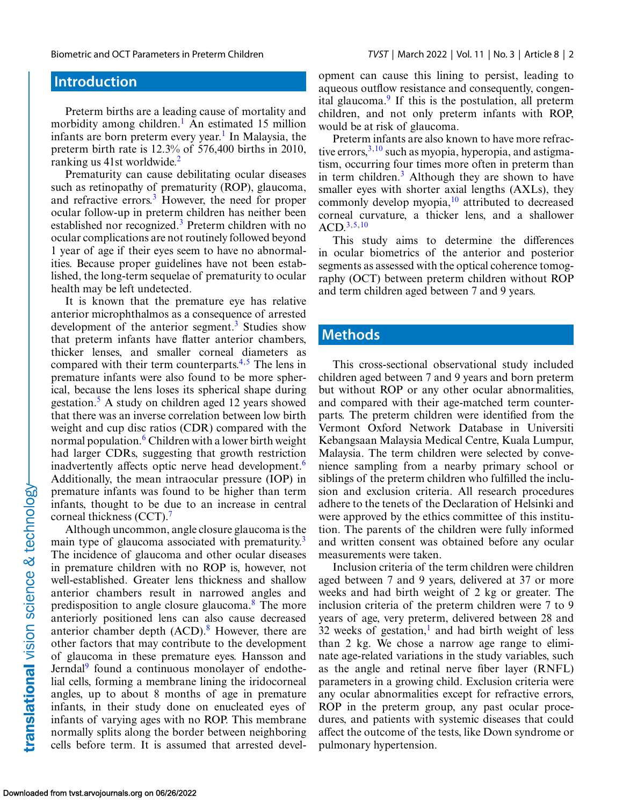## **Introduction**

Preterm births are a leading cause of mortality and morbidity among children.<sup>[1](#page-7-0)</sup> An estimated 15 million infants are born preterm every year.<sup>1</sup> In Malaysia, the preterm birth rate is 12.3% of 576,400 births in 2010, ranking us 41st worldwide.[2](#page-7-0)

Prematurity can cause debilitating ocular diseases such as retinopathy of prematurity (ROP), glaucoma, and refractive errors.<sup>3</sup> However, the need for proper ocular follow-up in preterm children has neither been established nor recognized.<sup>3</sup> Preterm children with no ocular complications are not routinely followed beyond 1 year of age if their eyes seem to have no abnormalities. Because proper guidelines have not been established, the long-term sequelae of prematurity to ocular health may be left undetected.

It is known that the premature eye has relative anterior microphthalmos as a consequence of arrested development of the anterior segment.<sup>3</sup> Studies show that preterm infants have flatter anterior chambers, thicker lenses, and smaller corneal diameters as compared with their term counterparts. $4,5$  The lens in premature infants were also found to be more spherical, because the lens loses its spherical shape during gestation.[5](#page-7-0) A study on children aged 12 years showed that there was an inverse correlation between low birth weight and cup disc ratios (CDR) compared with the normal population.<sup>[6](#page-7-0)</sup> Children with a lower birth weight had larger CDRs, suggesting that growth restriction inadvertently affects optic nerve head development[.6](#page-7-0) Additionally, the mean intraocular pressure (IOP) in premature infants was found to be higher than term infants, thought to be due to an increase in central corneal thickness (CCT).<sup>[7](#page-7-0)</sup>

Although uncommon, angle closure glaucoma is the main type of glaucoma associated with prematurity.<sup>[3](#page-7-0)</sup> The incidence of glaucoma and other ocular diseases in premature children with no ROP is, however, not well-established. Greater lens thickness and shallow anterior chambers result in narrowed angles and predisposition to angle closure glaucoma.[8](#page-7-0) The more anteriorly positioned lens can also cause decreased anterior chamber depth  $(ACD)$ .<sup>[8](#page-7-0)</sup> However, there are other factors that may contribute to the development of glaucoma in these premature eyes. Hansson and Jerndal<sup>9</sup> found a continuous monolayer of endothelial cells, forming a membrane lining the iridocorneal angles, up to about 8 months of age in premature infants, in their study done on enucleated eyes of infants of varying ages with no ROP. This membrane normally splits along the border between neighboring cells before term. It is assumed that arrested development can cause this lining to persist, leading to aqueous outflow resistance and consequently, congenital glaucoma. $9$  If this is the postulation, all preterm children, and not only preterm infants with ROP, would be at risk of glaucoma.

Preterm infants are also known to have more refractive errors,  $3,10$  such as myopia, hyperopia, and astigmatism, occurring four times more often in preterm than in term children. $3$  Although they are shown to have smaller eyes with shorter axial lengths (AXLs), they commonly develop myopia, $10$  attributed to decreased corneal curvature, a thicker lens, and a shallower  $ACD<sup>3,5,10</sup>$  $ACD<sup>3,5,10</sup>$  $ACD<sup>3,5,10</sup>$ 

This study aims to determine the differences in ocular biometrics of the anterior and posterior segments as assessed with the optical coherence tomography (OCT) between preterm children without ROP and term children aged between 7 and 9 years.

### **Methods**

This cross-sectional observational study included children aged between 7 and 9 years and born preterm but without ROP or any other ocular abnormalities, and compared with their age-matched term counterparts. The preterm children were identified from the Vermont Oxford Network Database in Universiti Kebangsaan Malaysia Medical Centre, Kuala Lumpur, Malaysia. The term children were selected by convenience sampling from a nearby primary school or siblings of the preterm children who fulfilled the inclusion and exclusion criteria. All research procedures adhere to the tenets of the Declaration of Helsinki and were approved by the ethics committee of this institution. The parents of the children were fully informed and written consent was obtained before any ocular measurements were taken.

Inclusion criteria of the term children were children aged between 7 and 9 years, delivered at 37 or more weeks and had birth weight of 2 kg or greater. The inclusion criteria of the preterm children were 7 to 9 years of age, very preterm, delivered between 28 and 32 weeks of gestation, $\frac{1}{1}$  and had birth weight of less than 2 kg. We chose a narrow age range to eliminate age-related variations in the study variables, such as the angle and retinal nerve fiber layer (RNFL) parameters in a growing child. Exclusion criteria were any ocular abnormalities except for refractive errors, ROP in the preterm group, any past ocular procedures, and patients with systemic diseases that could affect the outcome of the tests, like Down syndrome or pulmonary hypertension.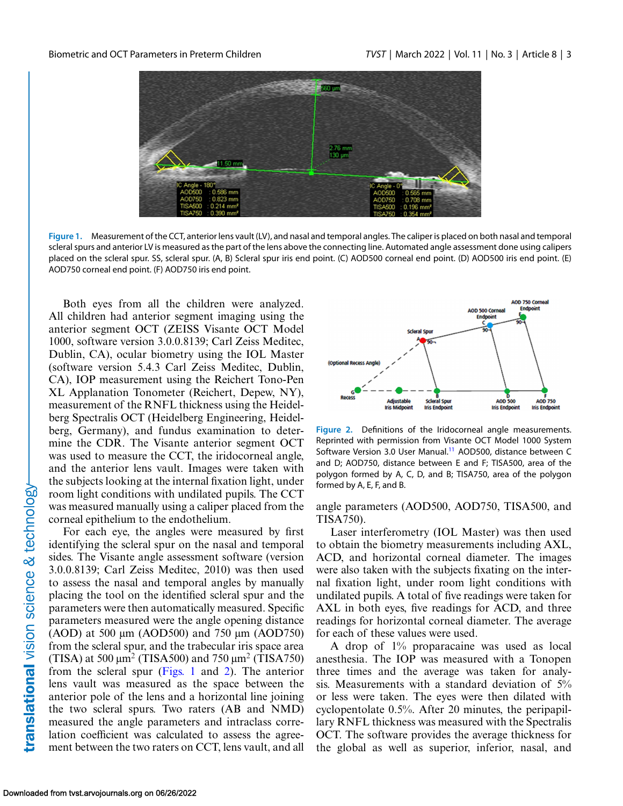

**Figure 1.** Measurement of the CCT, anterior lens vault (LV), and nasal and temporal angles. The caliper is placed on both nasal and temporal scleral spurs and anterior LV is measured as the part of the lens above the connecting line. Automated angle assessment done using calipers placed on the scleral spur. SS, scleral spur. (A, B) Scleral spur iris end point. (C) AOD500 corneal end point. (D) AOD500 iris end point. (E) AOD750 corneal end point. (F) AOD750 iris end point.

Both eyes from all the children were analyzed. All children had anterior segment imaging using the anterior segment OCT (ZEISS Visante OCT Model 1000, software version 3.0.0.8139; Carl Zeiss Meditec, Dublin, CA), ocular biometry using the IOL Master (software version 5.4.3 Carl Zeiss Meditec, Dublin, CA), IOP measurement using the Reichert Tono-Pen XL Applanation Tonometer (Reichert, Depew, NY), measurement of the RNFL thickness using the Heidelberg Spectralis OCT (Heidelberg Engineering, Heidelberg, Germany), and fundus examination to determine the CDR. The Visante anterior segment OCT was used to measure the CCT, the iridocorneal angle, and the anterior lens vault. Images were taken with the subjects looking at the internal fixation light, under room light conditions with undilated pupils. The CCT was measured manually using a caliper placed from the corneal epithelium to the endothelium.

For each eye, the angles were measured by first identifying the scleral spur on the nasal and temporal sides. The Visante angle assessment software (version 3.0.0.8139; Carl Zeiss Meditec, 2010) was then used to assess the nasal and temporal angles by manually placing the tool on the identified scleral spur and the parameters were then automatically measured. Specific parameters measured were the angle opening distance (AOD) at 500 μm (AOD500) and 750 μm (AOD750) from the scleral spur, and the trabecular iris space area (TISA) at 500  $\mu$ m<sup>2</sup> (TISA500) and 750  $\mu$ m<sup>2</sup> (TISA750) from the scleral spur (Figs. 1 and 2). The anterior lens vault was measured as the space between the anterior pole of the lens and a horizontal line joining the two scleral spurs. Two raters (AB and NMD) measured the angle parameters and intraclass correlation coefficient was calculated to assess the agreement between the two raters on CCT, lens vault, and all



**Figure 2.** Definitions of the Iridocorneal angle measurements. Reprinted with permission from Visante OCT Model 1000 System Software Version 3.0 User Manual.<sup>11</sup> AOD500, distance between C and D; AOD750, distance between E and F; TISA500, area of the polygon formed by A, C, D, and B; TISA750, area of the polygon formed by A, E, F, and B.

angle parameters (AOD500, AOD750, TISA500, and TISA750).

Laser interferometry (IOL Master) was then used to obtain the biometry measurements including AXL, ACD, and horizontal corneal diameter. The images were also taken with the subjects fixating on the internal fixation light, under room light conditions with undilated pupils. A total of five readings were taken for AXL in both eyes, five readings for ACD, and three readings for horizontal corneal diameter. The average for each of these values were used.

A drop of 1% proparacaine was used as local anesthesia. The IOP was measured with a Tonopen three times and the average was taken for analysis. Measurements with a standard deviation of 5% or less were taken. The eyes were then dilated with cyclopentolate 0.5%. After 20 minutes, the peripapillary RNFL thickness was measured with the Spectralis OCT. The software provides the average thickness for the global as well as superior, inferior, nasal, and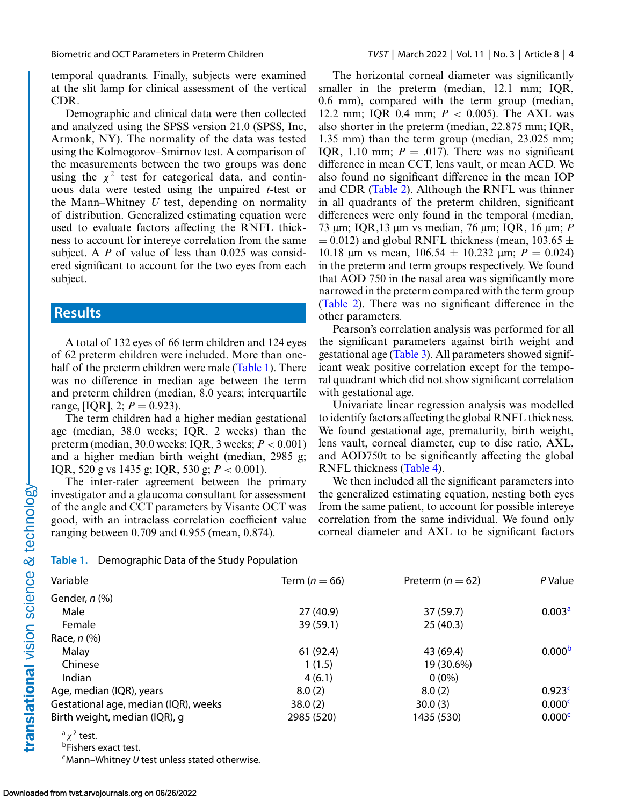temporal quadrants. Finally, subjects were examined at the slit lamp for clinical assessment of the vertical CDR.

Demographic and clinical data were then collected and analyzed using the SPSS version 21.0 (SPSS, Inc, Armonk, NY). The normality of the data was tested using the Kolmogorov–Smirnov test. A comparison of the measurements between the two groups was done using the  $\chi^2$  test for categorical data, and continuous data were tested using the unpaired *t*-test or the Mann–Whitney *U* test, depending on normality of distribution. Generalized estimating equation were used to evaluate factors affecting the RNFL thickness to account for intereye correlation from the same subject. A *P* of value of less than 0.025 was considered significant to account for the two eyes from each subject.

## **Results**

A total of 132 eyes of 66 term children and 124 eyes of 62 preterm children were included. More than onehalf of the preterm children were male (Table 1). There was no difference in median age between the term and preterm children (median, 8.0 years; interquartile range, [IQR], 2;  $P = 0.923$ ).

The term children had a higher median gestational age (median, 38.0 weeks; IQR, 2 weeks) than the preterm (median, 30.0 weeks; IQR, 3 weeks; *P* < 0.001) and a higher median birth weight (median, 2985 g; IQR, 520 g vs 1435 g; IQR, 530 g; *P* < 0.001).

The inter-rater agreement between the primary investigator and a glaucoma consultant for assessment of the angle and CCT parameters by Visante OCT was good, with an intraclass correlation coefficient value ranging between 0.709 and 0.955 (mean, 0.874).

The horizontal corneal diameter was significantly smaller in the preterm (median, 12.1 mm; IQR, 0.6 mm), compared with the term group (median, 12.2 mm; IQR 0.4 mm; *P* < 0.005). The AXL was also shorter in the preterm (median, 22.875 mm; IQR, 1.35 mm) than the term group (median, 23.025 mm; IQR, 1.10 mm;  $P = .017$ ). There was no significant difference in mean CCT, lens vault, or mean ACD. We also found no significant difference in the mean IOP and CDR [\(Table 2\)](#page-4-0). Although the RNFL was thinner in all quadrants of the preterm children, significant differences were only found in the temporal (median, 73 μm; IQR,13 μm vs median, 76 μm; IQR, 16 μm; *P*  $= 0.012$ ) and global RNFL thickness (mean, 103.65  $\pm$ 10.18 μm vs mean,  $106.54 \pm 10.232$  μm;  $P = 0.024$ ) in the preterm and term groups respectively. We found that AOD 750 in the nasal area was significantly more narrowed in the preterm compared with the term group [\(Table 2\)](#page-4-0). There was no significant difference in the other parameters.

Pearson's correlation analysis was performed for all the significant parameters against birth weight and gestational age [\(Table 3\)](#page-4-0). All parameters showed significant weak positive correlation except for the temporal quadrant which did not show significant correlation with gestational age.

Univariate linear regression analysis was modelled to identify factors affecting the global RNFL thickness. We found gestational age, prematurity, birth weight, lens vault, corneal diameter, cup to disc ratio, AXL, and AOD750t to be significantly affecting the global RNFL thickness [\(Table 4\)](#page-5-0).

We then included all the significant parameters into the generalized estimating equation, nesting both eyes from the same patient, to account for possible intereye correlation from the same individual. We found only corneal diameter and AXL to be significant factors

#### **Table 1.** Demographic Data of the Study Population

| Variable                             | Term ( $n = 66$ ) | Preterm ( $n = 62$ ) | P Value            |
|--------------------------------------|-------------------|----------------------|--------------------|
| Gender, n (%)                        |                   |                      |                    |
| Male                                 | 27(40.9)          | 37 (59.7)            | 0.003 <sup>a</sup> |
| Female                               | 39 (59.1)         | 25(40.3)             |                    |
| Race, $n$ $%$                        |                   |                      |                    |
| Malay                                | 61(92.4)          | 43 (69.4)            | 0.000 <sup>b</sup> |
| Chinese                              | 1(1.5)            | 19 (30.6%)           |                    |
| Indian                               | 4(6.1)            | $0(0\%)$             |                    |
| Age, median (IQR), years             | 8.0(2)            | 8.0(2)               | 0.923c             |
| Gestational age, median (IQR), weeks | 38.0(2)           | 30.0(3)              | 0.000 <sup>c</sup> |
| Birth weight, median (IQR), g        | 2985 (520)        | 1435 (530)           | 0.000c             |

 $a \chi^2$  test.

**bFishers exact test.** 

cMann*–*Whitney *U* test unless stated otherwise.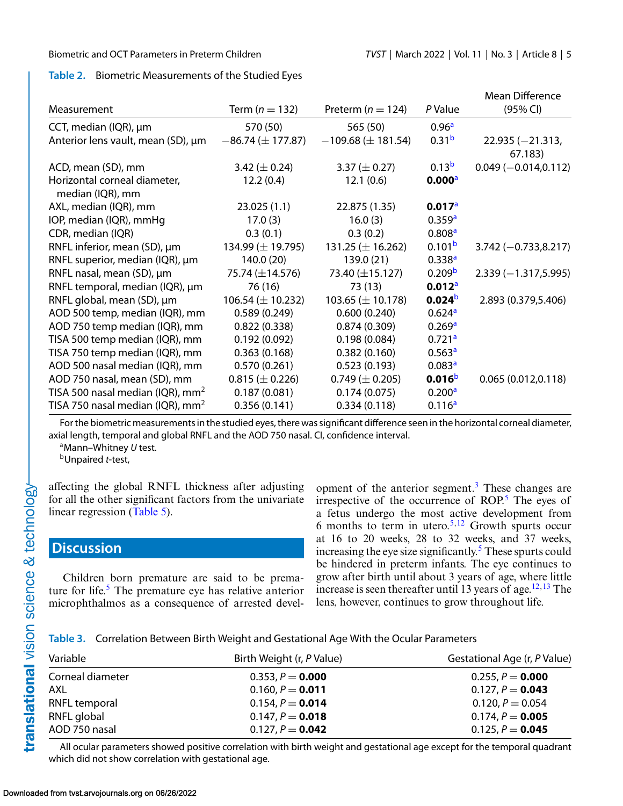### <span id="page-4-0"></span>**Table 2.** Biometric Measurements of the Studied Eyes

| Measurement                                      | Term ( $n = 132$ )       | Preterm ( $n = 124$ )    | P Value            | <b>Mean Difference</b><br>(95% CI) |
|--------------------------------------------------|--------------------------|--------------------------|--------------------|------------------------------------|
| CCT, median (IQR), µm                            | 570 (50)                 | 565 (50)                 | 0.96 <sup>a</sup>  |                                    |
|                                                  |                          |                          |                    |                                    |
| Anterior lens vault, mean (SD), µm               | $-86.74 \ (\pm 177.87)$  | $-109.68 \ (\pm 181.54)$ | 0.31 <sup>b</sup>  | $22.935 (-21.313,$<br>67.183)      |
| ACD, mean (SD), mm                               | 3.42 ( $\pm$ 0.24)       | 3.37 ( $\pm$ 0.27)       | 0.13 <sup>b</sup>  | $0.049 (-0.014, 0.112)$            |
| Horizontal corneal diameter,<br>median (IQR), mm | 12.2(0.4)                | 12.1(0.6)                | 0.000 <sup>a</sup> |                                    |
| AXL, median (IQR), mm                            | 23.025(1.1)              | 22.875 (1.35)            | 0.017 <sup>a</sup> |                                    |
| IOP, median (IQR), mmHg                          | 17.0(3)                  | 16.0(3)                  | 0.359a             |                                    |
| CDR, median (IQR)                                | 0.3(0.1)                 | 0.3(0.2)                 | 0.808 <sup>a</sup> |                                    |
| RNFL inferior, mean (SD), µm                     | 134.99 $(\pm 19.795)$    | 131.25 ( $\pm$ 16.262)   | 0.101 <sup>b</sup> | $3.742 (-0.733, 8.217)$            |
| RNFL superior, median (IQR), µm                  | 140.0(20)                | 139.0 (21)               | 0.338 <sup>a</sup> |                                    |
| RNFL nasal, mean (SD), µm                        | 75.74 (±14.576)          | 73.40 (±15.127)          | 0.209 <sup>b</sup> | $2.339(-1.317,5.995)$              |
| RNFL temporal, median (IQR), µm                  | 76 (16)                  | 73(13)                   | 0.012a             |                                    |
| RNFL global, mean (SD), µm                       | $106.54 \, (\pm 10.232)$ | 103.65 $(\pm 10.178)$    | 0.024 <sup>b</sup> | 2.893 (0.379,5.406)                |
| AOD 500 temp, median (IQR), mm                   | 0.589(0.249)             | 0.600(0.240)             | 0.624a             |                                    |
| AOD 750 temp median (IQR), mm                    | 0.822(0.338)             | 0.874(0.309)             | 0.269 <sup>a</sup> |                                    |
| TISA 500 temp median (IQR), mm                   | 0.192(0.092)             | 0.198(0.084)             | 0.721a             |                                    |
| TISA 750 temp median (IQR), mm                   | 0.363(0.168)             | 0.382(0.160)             | 0.563 <sup>a</sup> |                                    |
| AOD 500 nasal median (IQR), mm                   | 0.570(0.261)             | 0.523(0.193)             | 0.083 <sup>a</sup> |                                    |
| AOD 750 nasal, mean (SD), mm                     | $0.815 (\pm 0.226)$      | $0.749 \ (\pm 0.205)$    | 0.016 <sup>b</sup> | 0.065(0.012, 0.118)                |
| TISA 500 nasal median (IQR), $mm2$               | 0.187(0.081)             | 0.174(0.075)             | 0.200 <sup>a</sup> |                                    |
| TISA 750 nasal median (IQR), $mm2$               | 0.356(0.141)             | 0.334(0.118)             | 0.116 <sup>a</sup> |                                    |

For the biometric measurements in the studied eyes, there was significant difference seen in the horizontal corneal diameter, axial length, temporal and global RNFL and the AOD 750 nasal. CI, confidence interval.

aMann–Whitney *U* test.

bUnpaired *t*-test,

affecting the global RNFL thickness after adjusting for all the other significant factors from the univariate linear regression [\(Table 5\)](#page-5-0).

## **Discussion**

Children born premature are said to be premature for life. $5$  The premature eye has relative anterior microphthalmos as a consequence of arrested development of the anterior segment.[3](#page-7-0) These changes are irrespective of the occurrence of  $ROP<sub>5</sub>$ . The eyes of a fetus undergo the most active development from 6 months to term in utero.<sup>5,12</sup> Growth spurts occur at 16 to 20 weeks, 28 to 32 weeks, and 37 weeks, increasing the eye size significantly. $5$  These spurts could be hindered in preterm infants. The eye continues to grow after birth until about 3 years of age, where little increase is seen thereafter until 13 years of age.<sup>12,13</sup> The lens, however, continues to grow throughout life.

**Table 3.** Correlation Between Birth Weight and Gestational Age With the Ocular Parameters

| Variable         | Birth Weight (r, P Value) | Gestational Age (r, P Value) |
|------------------|---------------------------|------------------------------|
| Corneal diameter | 0.353, $P = 0.000$        | 0.255, $P = 0.000$           |
| AXL              | 0.160, $P = 0.011$        | 0.127, $P = 0.043$           |
| RNFL temporal    | 0.154, $P = 0.014$        | $0.120, P = 0.054$           |
| RNFL global      | $0.147, P = 0.018$        | 0.174, $P = 0.005$           |
| AOD 750 nasal    | 0.127, $P = 0.042$        | 0.125, $P = 0.045$           |

All ocular parameters showed positive correlation with birth weight and gestational age except for the temporal quadrant which did not show correlation with gestational age.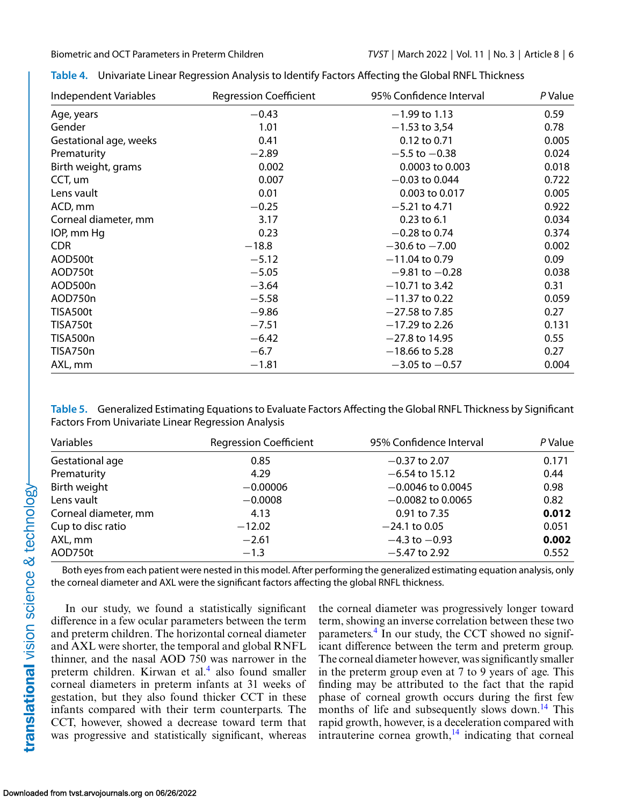| Independent Variables  | <b>Regression Coefficient</b> | 95% Confidence Interval | P Value |
|------------------------|-------------------------------|-------------------------|---------|
| Age, years             | $-0.43$                       | $-1.99$ to 1.13         | 0.59    |
| Gender                 | 1.01                          | $-1.53$ to 3,54         | 0.78    |
| Gestational age, weeks | 0.41                          | 0.12 to 0.71            | 0.005   |
| Prematurity            | $-2.89$                       | $-5.5$ to $-0.38$       | 0.024   |
| Birth weight, grams    | 0.002                         | 0.0003 to 0.003         | 0.018   |
| CCT, um                | 0.007                         | $-0.03$ to 0.044        | 0.722   |
| Lens vault             | 0.01                          | 0.003 to 0.017          | 0.005   |
| ACD, mm                | $-0.25$                       | $-5.21$ to 4.71         | 0.922   |
| Corneal diameter, mm   | 3.17                          | $0.23$ to 6.1           | 0.034   |
| IOP, mm Hg             | 0.23                          | $-0.28$ to 0.74         | 0.374   |
| <b>CDR</b>             | $-18.8$                       | $-30.6$ to $-7.00$      | 0.002   |
| AOD500t                | $-5.12$                       | $-11.04$ to 0.79        | 0.09    |
| AOD750t                | $-5.05$                       | $-9.81$ to $-0.28$      | 0.038   |
| AOD500n                | $-3.64$                       | $-10.71$ to 3.42        | 0.31    |
| AOD750n                | $-5.58$                       | $-11.37$ to 0.22        | 0.059   |
| TISA500t               | $-9.86$                       | $-27.58$ to 7.85        | 0.27    |
| TISA750t               | $-7.51$                       | $-17.29$ to 2.26        | 0.131   |
| TISA500n               | $-6.42$                       | $-27.8$ to 14.95        | 0.55    |
| TISA750n               | $-6.7$                        | $-18.66$ to 5.28        | 0.27    |
| AXL, mm                | $-1.81$                       | $-3.05$ to $-0.57$      | 0.004   |

<span id="page-5-0"></span>

|  | Table 4. Univariate Linear Regression Analysis to Identify Factors Affecting the Global RNFL Thickness |  |  |  |
|--|--------------------------------------------------------------------------------------------------------|--|--|--|
|--|--------------------------------------------------------------------------------------------------------|--|--|--|

**Table 5.** Generalized Estimating Equations to Evaluate Factors Affecting the Global RNFL Thickness by Significant Factors From Univariate Linear Regression Analysis

| Variables            | <b>Regression Coefficient</b> | 95% Confidence Interval | P Value |
|----------------------|-------------------------------|-------------------------|---------|
| Gestational age      | 0.85                          | $-0.37$ to 2.07         | 0.171   |
| Prematurity          | 4.29                          | $-6.54$ to 15.12        | 0.44    |
| Birth weight         | $-0.00006$                    | $-0.0046$ to 0.0045     | 0.98    |
| Lens vault           | $-0.0008$                     | $-0.0082$ to 0.0065     | 0.82    |
| Corneal diameter, mm | 4.13                          | 0.91 to 7.35            | 0.012   |
| Cup to disc ratio    | $-12.02$                      | $-24.1$ to 0.05         | 0.051   |
| AXL, mm              | $-2.61$                       | $-4.3$ to $-0.93$       | 0.002   |
| AOD750t              | $-1.3$                        | $-5.47$ to 2.92         | 0.552   |

Both eyes from each patient were nested in this model. After performing the generalized estimating equation analysis, only the corneal diameter and AXL were the significant factors affecting the global RNFL thickness.

In our study, we found a statistically significant difference in a few ocular parameters between the term and preterm children. The horizontal corneal diameter and AXL were shorter, the temporal and global RNFL thinner, and the nasal AOD 750 was narrower in the preterm children. Kirwan et al.<sup>[4](#page-7-0)</sup> also found smaller corneal diameters in preterm infants at 31 weeks of gestation, but they also found thicker CCT in these infants compared with their term counterparts. The CCT, however, showed a decrease toward term that was progressive and statistically significant, whereas the corneal diameter was progressively longer toward term, showing an inverse correlation between these two parameters[.4](#page-7-0) In our study, the CCT showed no significant difference between the term and preterm group. The corneal diameter however, was significantly smaller in the preterm group even at 7 to 9 years of age. This finding may be attributed to the fact that the rapid phase of corneal growth occurs during the first few months of life and subsequently slows down.<sup>14</sup> This rapid growth, however, is a deceleration compared with intrauterine cornea growth, $14$  indicating that corneal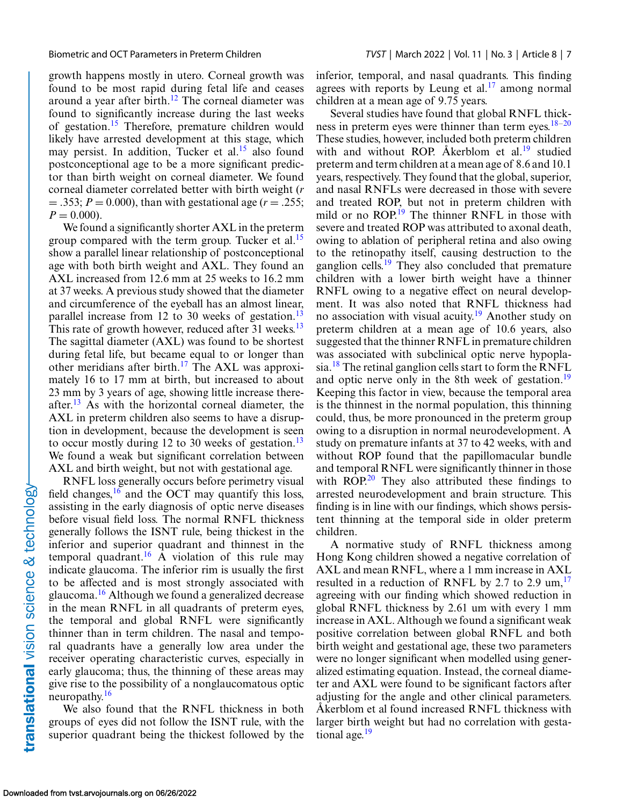growth happens mostly in utero. Corneal growth was found to be most rapid during fetal life and ceases around a year after birth.<sup>12</sup> The corneal diameter was found to significantly increase during the last weeks of gestation[.15](#page-8-0) Therefore, premature children would likely have arrested development at this stage, which may persist. In addition, Tucker et al.<sup>15</sup> also found postconceptional age to be a more significant predictor than birth weight on corneal diameter. We found corneal diameter correlated better with birth weight (*r*  $= .353; P = 0.000$ , than with gestational age ( $r = .255;$  $P = 0.000$ .

We found a significantly shorter AXL in the preterm group compared with the term group. Tucker et al.<sup>15</sup> show a parallel linear relationship of postconceptional age with both birth weight and AXL. They found an AXL increased from 12.6 mm at 25 weeks to 16.2 mm at 37 weeks. A previous study showed that the diameter and circumference of the eyeball has an almost linear, parallel increase from 12 to 30 weeks of gestation.<sup>[13](#page-7-0)</sup> This rate of growth however, reduced after 31 weeks.<sup>[13](#page-7-0)</sup> The sagittal diameter (AXL) was found to be shortest during fetal life, but became equal to or longer than other meridians after birth.<sup>17</sup> The AXL was approximately 16 to 17 mm at birth, but increased to about 23 mm by 3 years of age, showing little increase there-after.<sup>[13](#page-7-0)</sup> As with the horizontal corneal diameter, the AXL in preterm children also seems to have a disruption in development, because the development is seen to occur mostly during 12 to 30 weeks of gestation.<sup>13</sup> We found a weak but significant correlation between AXL and birth weight, but not with gestational age.

RNFL loss generally occurs before perimetry visual field changes,  $^{16}$  $^{16}$  $^{16}$  and the OCT may quantify this loss, assisting in the early diagnosis of optic nerve diseases before visual field loss. The normal RNFL thickness generally follows the ISNT rule, being thickest in the inferior and superior quadrant and thinnest in the temporal quadrant.<sup>16</sup> A violation of this rule may indicate glaucoma. The inferior rim is usually the first to be affected and is most strongly associated with glaucoma[.16](#page-8-0) Although we found a generalized decrease in the mean RNFL in all quadrants of preterm eyes, the temporal and global RNFL were significantly thinner than in term children. The nasal and temporal quadrants have a generally low area under the receiver operating characteristic curves, especially in early glaucoma; thus, the thinning of these areas may give rise to the possibility of a nonglaucomatous optic neuropathy.[16](#page-8-0)

We also found that the RNFL thickness in both groups of eyes did not follow the ISNT rule, with the superior quadrant being the thickest followed by the inferior, temporal, and nasal quadrants. This finding agrees with reports by Leung et al. $17$  among normal children at a mean age of 9.75 years.

Several studies have found that global RNFL thickness in preterm eyes were thinner than term eyes.  $18-20$ These studies, however, included both preterm children with and without ROP. Åkerblom et al.<sup>[19](#page-8-0)</sup> studied preterm and term children at a mean age of 8.6 and 10.1 years, respectively. They found that the global, superior, and nasal RNFLs were decreased in those with severe and treated ROP, but not in preterm children with mild or no ROP.<sup>[19](#page-8-0)</sup> The thinner RNFL in those with severe and treated ROP was attributed to axonal death, owing to ablation of peripheral retina and also owing to the retinopathy itself, causing destruction to the ganglion cells.<sup>[19](#page-8-0)</sup> They also concluded that premature children with a lower birth weight have a thinner RNFL owing to a negative effect on neural development. It was also noted that RNFL thickness had no association with visual acuity.[19](#page-8-0) Another study on preterm children at a mean age of 10.6 years, also suggested that the thinner RNFL in premature children was associated with subclinical optic nerve hypopla-sia.<sup>[18](#page-8-0)</sup> The retinal ganglion cells start to form the RNFL and optic nerve only in the 8th week of gestation.<sup>19</sup> Keeping this factor in view, because the temporal area is the thinnest in the normal population, this thinning could, thus, be more pronounced in the preterm group owing to a disruption in normal neurodevelopment. A study on premature infants at 37 to 42 weeks, with and without ROP found that the papillomacular bundle and temporal RNFL were significantly thinner in those with ROP.<sup>[20](#page-8-0)</sup> They also attributed these findings to arrested neurodevelopment and brain structure. This finding is in line with our findings, which shows persistent thinning at the temporal side in older preterm children.

A normative study of RNFL thickness among Hong Kong children showed a negative correlation of AXL and mean RNFL, where a 1 mm increase in AXL resulted in a reduction of RNFL by 2.7 to 2.9  $\mu$ m,<sup>[17](#page-8-0)</sup> agreeing with our finding which showed reduction in global RNFL thickness by 2.61 um with every 1 mm increase in AXL. Although we found a significant weak positive correlation between global RNFL and both birth weight and gestational age, these two parameters were no longer significant when modelled using generalized estimating equation. Instead, the corneal diameter and AXL were found to be significant factors after adjusting for the angle and other clinical parameters. Åkerblom et al found increased RNFL thickness with larger birth weight but had no correlation with gestational age.<sup>19</sup>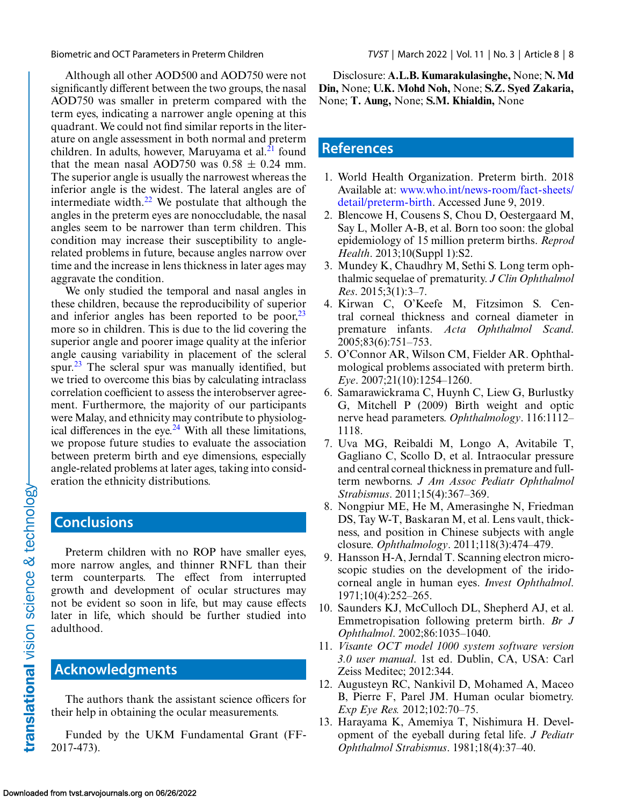<span id="page-7-0"></span>Biometric and OCT Parameters in Preterm Children *TVST* | March 2022 | Vol. 11 | No. 3 | Article 8 | 8

Although all other AOD500 and AOD750 were not significantly different between the two groups, the nasal AOD750 was smaller in preterm compared with the term eyes, indicating a narrower angle opening at this quadrant. We could not find similar reports in the literature on angle assessment in both normal and preterm children. In adults, however, Maruyama et al. $^{21}$  $^{21}$  $^{21}$  found that the mean nasal AOD750 was  $0.58 \pm 0.24$  mm. The superior angle is usually the narrowest whereas the inferior angle is the widest. The lateral angles are of intermediate width. $^{22}$  We postulate that although the angles in the preterm eyes are nonoccludable, the nasal angles seem to be narrower than term children. This condition may increase their susceptibility to anglerelated problems in future, because angles narrow over time and the increase in lens thickness in later ages may aggravate the condition.

We only studied the temporal and nasal angles in these children, because the reproducibility of superior and inferior angles has been reported to be poor,  $23$ more so in children. This is due to the lid covering the superior angle and poorer image quality at the inferior angle causing variability in placement of the scleral spur. $^{23}$  The scleral spur was manually identified, but we tried to overcome this bias by calculating intraclass correlation coefficient to assess the interobserver agreement. Furthermore, the majority of our participants were Malay, and ethnicity may contribute to physiological differences in the eye. $24$  With all these limitations, we propose future studies to evaluate the association between preterm birth and eye dimensions, especially angle-related problems at later ages, taking into consideration the ethnicity distributions.

# **Conclusions**

Preterm children with no ROP have smaller eyes, more narrow angles, and thinner RNFL than their term counterparts. The effect from interrupted growth and development of ocular structures may not be evident so soon in life, but may cause effects later in life, which should be further studied into adulthood.

## **Acknowledgments**

The authors thank the assistant science officers for their help in obtaining the ocular measurements.

Funded by the UKM Fundamental Grant (FF-2017-473).

Disclosure: **A.L.B. Kumarakulasinghe,** None; **N. Md Din,** None; **U.K. Mohd Noh,** None; **S.Z. Syed Zakaria,** None; **T. Aung,** None; **S.M. Khialdin,** None

## **References**

- 1. World Health Organization. Preterm birth. 2018 Available at: www.who.int/news-room/fact-sheets/ [detail/preterm-birth. Accessed June 9, 2019.](http://www.who.int/news-room/fact-sheets/detail/preterm-birth)
- 2. Blencowe H, Cousens S, Chou D, Oestergaard M, Say L, Moller A-B, et al. Born too soon: the global epidemiology of 15 million preterm births. *Reprod Health*. 2013;10(Suppl 1):S2.
- 3. Mundey K, Chaudhry M, Sethi S. Long term ophthalmic sequelae of prematurity. *J Clin Ophthalmol Res*. 2015;3(1):3–7.
- 4. Kirwan C, O'Keefe M, Fitzsimon S. Central corneal thickness and corneal diameter in premature infants. *Acta Ophthalmol Scand*. 2005;83(6):751–753.
- 5. O'Connor AR, Wilson CM, Fielder AR. Ophthalmological problems associated with preterm birth. *Eye*. 2007;21(10):1254–1260.
- 6. Samarawickrama C, Huynh C, Liew G, Burlustky G, Mitchell P (2009) Birth weight and optic nerve head parameters. *Ophthalmology*. 116:1112– 1118.
- 7. Uva MG, Reibaldi M, Longo A, Avitabile T, Gagliano C, Scollo D, et al. Intraocular pressure and central corneal thickness in premature and fullterm newborns. *J Am Assoc Pediatr Ophthalmol Strabismus*. 2011;15(4):367–369.
- 8. Nongpiur ME, He M, Amerasinghe N, Friedman DS, Tay W-T, Baskaran M, et al. Lens vault, thickness, and position in Chinese subjects with angle closure. *Ophthalmology*. 2011;118(3):474–479.
- 9. Hansson H-A, Jerndal T. Scanning electron microscopic studies on the development of the iridocorneal angle in human eyes. *Invest Ophthalmol*. 1971;10(4):252–265.
- 10. Saunders KJ, McCulloch DL, Shepherd AJ, et al. Emmetropisation following preterm birth. *Br J Ophthalmol*. 2002;86:1035–1040.
- 11. *Visante OCT model 1000 system software version 3.0 user manual*. 1st ed. Dublin, CA, USA: Carl Zeiss Meditec; 2012:344.
- 12. Augusteyn RC, Nankivil D, Mohamed A, Maceo B, Pierre F, Parel JM. Human ocular biometry. *Exp Eye Res.* 2012;102:70–75.
- 13. Harayama K, Amemiya T, Nishimura H. Development of the eyeball during fetal life. *J Pediatr Ophthalmol Strabismus*. 1981;18(4):37–40.